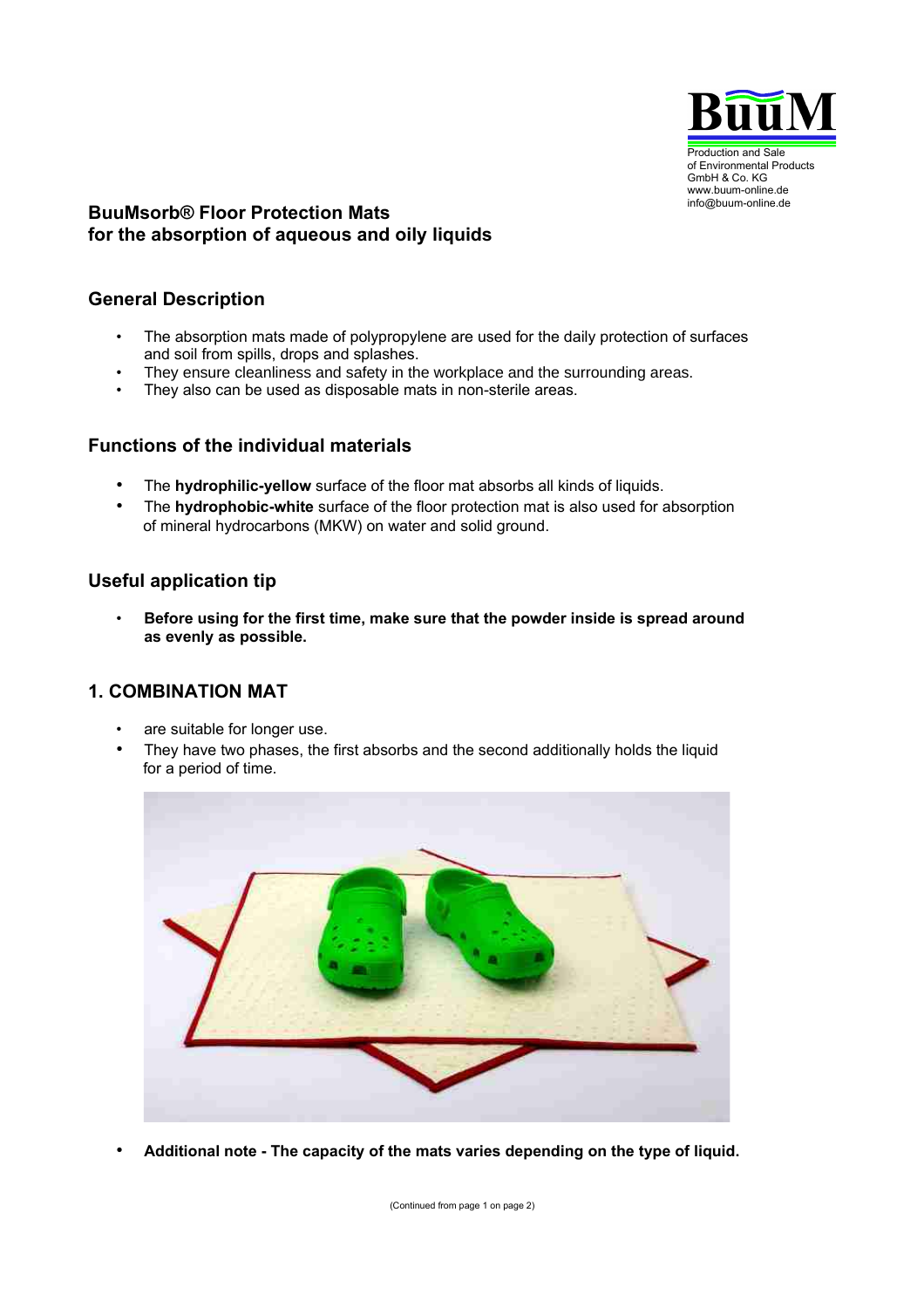

## **BuuMsorb® Floor Protection Mats for the absorption of aqueous and oily liquids**

## **General Description**

- The absorption mats made of polypropylene are used for the daily protection of surfaces and soil from spills, drops and splashes.
- They ensure cleanliness and safety in the workplace and the surrounding areas.
- They also can be used as disposable mats in non-sterile areas.

#### **Functions of the individual materials**

- The **hydrophilic-yellow** surface of the floor mat absorbs all kinds of liquids.
- The **hydrophobic-white** surface of the floor protection mat is also used for absorption of mineral hydrocarbons (MKW) on water and solid ground.

## **Useful application tip**

• **Before using for the first time, make sure that the powder inside is spread around as evenly as possible.**

### **1. COMBINATION MAT**

- are suitable for longer use.
- They have two phases, the first absorbs and the second additionally holds the liquid for a period of time.



• **Additional note - The capacity of the mats varies depending on the type of liquid.**